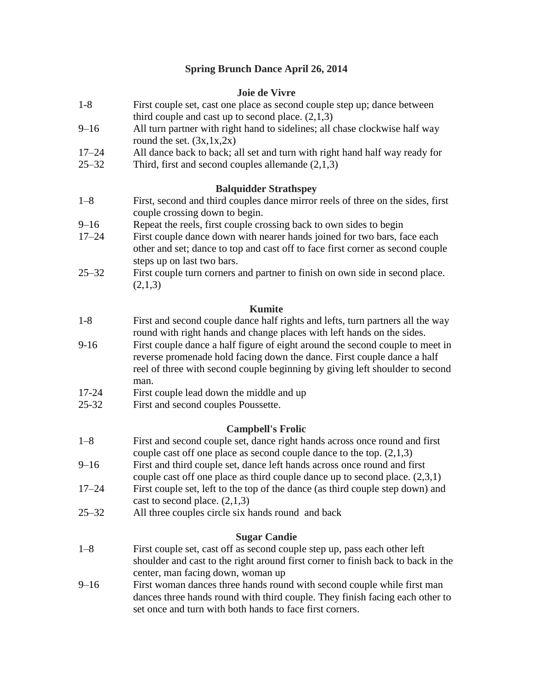## **Spring Brunch Dance April 26, 2014**

#### **Joie de Vivre**

- 1-8 First couple set, cast one place as second couple step up; dance between third couple and cast up to second place.  $(2,1,3)$
- 9–16 All turn partner with right hand to sidelines; all chase clockwise half way round the set.  $(3x, 1x, 2x)$
- 17–24 All dance back to back; all set and turn with right hand half way ready for
- 25–32 Third, first and second couples allemande (2,1,3)

#### **Balquidder Strathspey**

- 1–8 First, second and third couples dance mirror reels of three on the sides, first couple crossing down to begin.
- 9–16 Repeat the reels, first couple crossing back to own sides to begin
- 17–24 First couple dance down with nearer hands joined for two bars, face each other and set; dance to top and cast off to face first corner as second couple steps up on last two bars.
- 25–32 First couple turn corners and partner to finish on own side in second place.  $(2,1,3)$

#### **Kumite**

- 1-8 First and second couple dance half rights and lefts, turn partners all the way round with right hands and change places with left hands on the sides.
- 9-16 First couple dance a half figure of eight around the second couple to meet in reverse promenade hold facing down the dance. First couple dance a half reel of three with second couple beginning by giving left shoulder to second man.
- 17-24 First couple lead down the middle and up
- 25-32 First and second couples Poussette.

#### **Campbell's Frolic**

- 1–8 First and second couple set, dance right hands across once round and first couple cast off one place as second couple dance to the top. (2,1,3)
- 9–16 First and third couple set, dance left hands across once round and first
- couple cast off one place as third couple dance up to second place. (2,3,1)
- 17–24 First couple set, left to the top of the dance (as third couple step down) and cast to second place.  $(2,1,3)$
- 25–32 All three couples circle six hands round and back

### **Sugar Candie**

- 1–8 First couple set, cast off as second couple step up, pass each other left shoulder and cast to the right around first corner to finish back to back in the center, man facing down, woman up
- 9–16 First woman dances three hands round with second couple while first man dances three hands round with third couple. They finish facing each other to set once and turn with both hands to face first corners.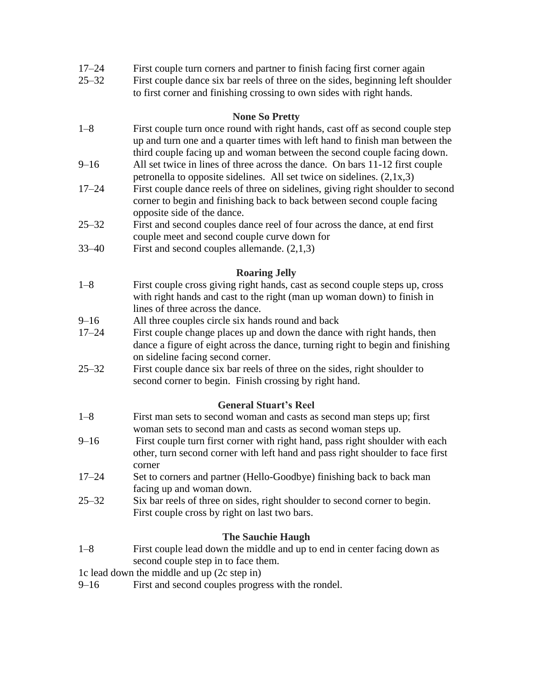- 17–24 First couple turn corners and partner to finish facing first corner again
- 25–32 First couple dance six bar reels of three on the sides, beginning left shoulder to first corner and finishing crossing to own sides with right hands.

#### **None So Pretty**

- 1–8 First couple turn once round with right hands, cast off as second couple step up and turn one and a quarter times with left hand to finish man between the third couple facing up and woman between the second couple facing down.
- 9–16 All set twice in lines of three across the dance. On bars 11-12 first couple petronella to opposite sidelines. All set twice on sidelines. (2,1x,3)
- 17–24 First couple dance reels of three on sidelines, giving right shoulder to second corner to begin and finishing back to back between second couple facing opposite side of the dance.
- 25–32 First and second couples dance reel of four across the dance, at end first couple meet and second couple curve down for
- 33–40 First and second couples allemande. (2,1,3)

## **Roaring Jelly**

- 1–8 First couple cross giving right hands, cast as second couple steps up, cross with right hands and cast to the right (man up woman down) to finish in lines of three across the dance.
- 9–16 All three couples circle six hands round and back
- 17–24 First couple change places up and down the dance with right hands, then dance a figure of eight across the dance, turning right to begin and finishing on sideline facing second corner.
- 25–32 First couple dance six bar reels of three on the sides, right shoulder to second corner to begin. Finish crossing by right hand.

### **General Stuart's Reel**

- 1–8 First man sets to second woman and casts as second man steps up; first woman sets to second man and casts as second woman steps up.
- 9–16 First couple turn first corner with right hand, pass right shoulder with each other, turn second corner with left hand and pass right shoulder to face first corner
- 17–24 Set to corners and partner (Hello-Goodbye) finishing back to back man facing up and woman down.
- 25–32 Six bar reels of three on sides, right shoulder to second corner to begin. First couple cross by right on last two bars.

### **The Sauchie Haugh**

- 1–8 First couple lead down the middle and up to end in center facing down as second couple step in to face them.
- 1c lead down the middle and up (2c step in)
- 9–16 First and second couples progress with the rondel.